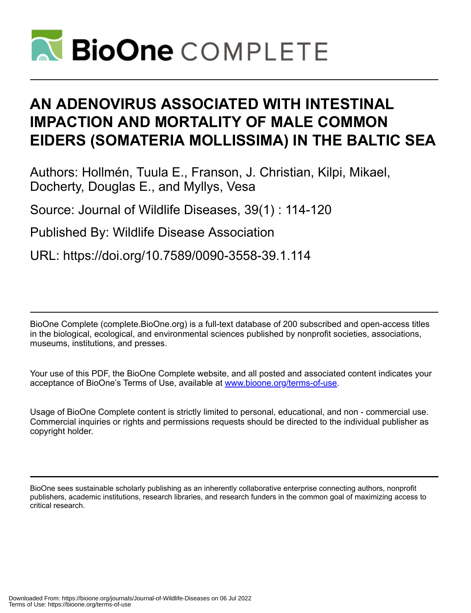

# **AN ADENOVIRUS ASSOCIATED WITH INTESTINAL IMPACTION AND MORTALITY OF MALE COMMON EIDERS (SOMATERIA MOLLISSIMA) IN THE BALTIC SEA**

Authors: Hollmén, Tuula E., Franson, J. Christian, Kilpi, Mikael, Docherty, Douglas E., and Myllys, Vesa

Source: Journal of Wildlife Diseases, 39(1) : 114-120

Published By: Wildlife Disease Association

URL: https://doi.org/10.7589/0090-3558-39.1.114

BioOne Complete (complete.BioOne.org) is a full-text database of 200 subscribed and open-access titles in the biological, ecological, and environmental sciences published by nonprofit societies, associations, museums, institutions, and presses.

Your use of this PDF, the BioOne Complete website, and all posted and associated content indicates your acceptance of BioOne's Terms of Use, available at www.bioone.org/terms-of-use.

Usage of BioOne Complete content is strictly limited to personal, educational, and non - commercial use. Commercial inquiries or rights and permissions requests should be directed to the individual publisher as copyright holder.

BioOne sees sustainable scholarly publishing as an inherently collaborative enterprise connecting authors, nonprofit publishers, academic institutions, research libraries, and research funders in the common goal of maximizing access to critical research.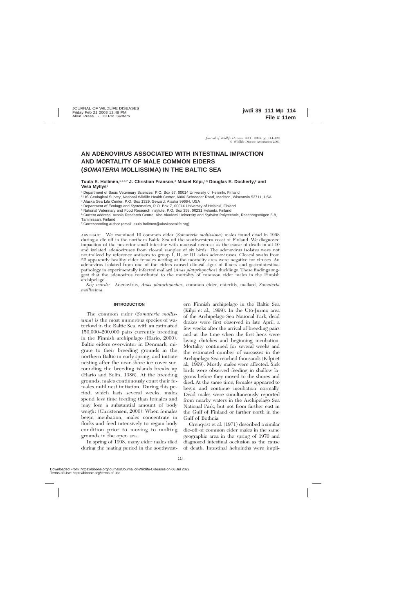# **AN ADENOVIRUS ASSOCIATED WITH INTESTINAL IMPACTION AND MORTALITY OF MALE COMMON EIDERS (SOMATERIA MOLLISSIMA) IN THE BALTIC SEA**

**Tuula E. Hollme´n,**1,2,3,7 **J. Christian Franson,**<sup>2</sup> **Mikael Kilpi,**4,6 **Douglas E. Docherty,**<sup>2</sup> **and Vesa Myllys**<sup>5</sup>

<sup>1</sup> Department of Basic Veterinary Sciences, P.O. Box 57, 00014 University of Helsinki, Finland

<sup>2</sup> US Geological Survey, National Wildlife Health Center, 6006 Schroeder Road, Madison, Wisconsin 53711, USA

<sup>3</sup> Alaska Sea Life Center, P.O. Box 1329, Seward, Alaska 99664, USA

<sup>4</sup> Department of Ecology and Systematics, P.O. Box 7, 00014 University of Helsinki, Finland

<sup>5</sup> National Veterinary and Food Research Institute, P.O. Box 358, 00231 Helsinki, Finland

<sup>6</sup> Current address: Aronia Research Centre, Abo Akademi University and Sydväst Polytechnic, Raseborgsvägen 6-8, Tammisaari, Finland

<sup>7</sup> Corresponding author (email: tuula\_hollmen@alaskasealife.org)

ABSTRACT: We examined 10 common eider (*Somateria mollissima*) males found dead in 1998 during a die-off in the northern Baltic Sea off the southwestern coast of Finland. We diagnosed impaction of the posterior small intestine with mucosal necrosis as the cause of death in all 10 and isolated adenoviruses from cloacal samples of six birds. The adenovirus isolates were not neutralized by reference antisera to group I, II, or III avian adenoviruses. Cloacal swabs from 22 apparently healthy eider females nesting at the mortality area were negative for viruses. An adenovirus isolated from one of the eiders caused clinical signs of illness and gastrointestinal pathology in experimentally infected mallard (*Anas platyrhynchos*) ducklings. These findings suggest that the adenovirus contributed to the mortality of common eider males in the Finnish archipelago.

*Key words:* Adenovirus, *Anas platyrhynchos,* common eider, enteritis, mallard, *Somateria mollissima.*

#### **INTRODUCTION**

The common eider (*Somateria mollissima*) is the most numerous species of waterfowl in the Baltic Sea, with an estimated 150,000–200,000 pairs currently breeding in the Finnish archipelago (Hario, 2000). Baltic eiders overwinter in Denmark, migrate to their breeding grounds in the northern Baltic in early spring, and initiate nesting after the near shore ice cover surrounding the breeding islands breaks up (Hario and Selin, 1986). At the breeding grounds, males continuously court their females until nest initiation. During this period, which lasts several weeks, males spend less time feeding than females and may lose a substantial amount of body weight (Christensen, 2000). When females begin incubation, males concentrate in flocks and feed intensively to regain body condition prior to moving to molting grounds in the open sea.

In spring of 1998, many eider males died during the mating period in the southwestern Finnish archipelago in the Baltic Sea  $(Kilpi et al., 1999)$ . In the Utö-Jurmo area of the Archipelago Sea National Park, dead drakes were first observed in late April, a few weeks after the arrival of breeding pairs and at the time when the first hens were laying clutches and beginning incubation. Mortality continued for several weeks and the estimated number of carcasses in the Archipelago Sea reached thousands (Kilpi et al., 1999). Mostly males were affected. Sick birds were observed feeding in shallow lagoons before they moved to the shores and died. At the same time, females appeared to begin and continue incubation normally. Dead males were simultaneously reported from nearby waters in the Archipelago Sea National Park, but not from farther east in the Gulf of Finland or farther north in the Gulf of Bothnia.

Grenqvist et al. (1971) described a similar die-off of common eider males in the same geographic area in the spring of 1970 and diagnosed intestinal occlusion as the cause of death. Intestinal helminths were impli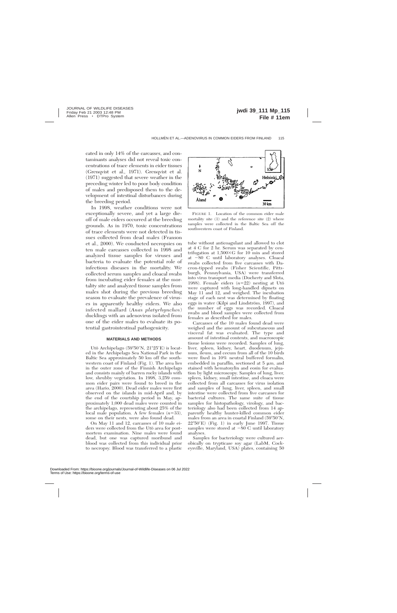cated in only 14% of the carcasses, and contaminants analyses did not reveal toxic concentrations of trace elements in eider tissues (Grenqvist et al., 1971). Grenqvist et al. (1971) suggested that severe weather in the preceding winter led to poor body condition of males and predisposed them to the development of intestinal disturbances during the breeding period.

In 1998, weather conditions were not exceptionally severe, and yet a large dieoff of male eiders occurred at the breeding grounds. As in 1970, toxic concentrations of trace elements were not detected in tissues collected from dead males (Franson et al., 2000). We conducted necropsies on ten male carcasses collected in 1998 and analyzed tissue samples for viruses and bacteria to evaluate the potential role of infectious diseases in the mortality. We collected serum samples and cloacal swabs from incubating eider females at the mortality site and analyzed tissue samples from males shot during the previous breeding season to evaluate the prevalence of viruses in apparently healthy eiders. We also infected mallard (*Anas platyrhynchos*) ducklings with an adenovirus isolated from one of the eider males to evaluate its potential gastrointestinal pathogenicity.

#### **MATERIALS AND METHODS**

Utö Archipelago (59°50'N, 21°25'E) is located in the Archipelago Sea National Park in the Baltic Sea approximately 50 km off the southwestern coast of Finland (Fig. 1). The area lies in the outer zone of the Finnish Archipelago and consists mainly of barren rocky islands with low, shrubby vegetation. In 1998, 3,259 common eider pairs were found to breed in the area (Hario, 2000). Dead eider males were first observed on the islands in mid-April and, by the end of the courtship period in May, approximately 1,000 dead males were counted in the archipelago, representing about 25% of the local male population. A few females  $(n=33)$ , some on their nests, were also found dead.

On May 11 and 12, carcasses of 10 male eiders were collected from the Utö area for postmortem examination. Nine males were found dead, but one was captured moribund and blood was collected from this individual prior to necropsy. Blood was transferred to a plastic



FIGURE 1. Location of the common eider male mortality site (1) and the reference site (2) where samples were collected in the Baltic Sea off the southwestern coast of Finland.

tube without anticoagulant and allowed to clot at 4 C for 2 hr. Serum was separated by centrifugation at  $1,500\times G$  for 10 min and stored at  $-80$  C until laboratory analyses. Cloacal swabs collected from five carcasses with Dacron-tipped swabs (Fisher Scientific, Pittsburgh, Pennsylvania, USA) were transferred into virus transport media (Docherty and Slota, 1988). Female eiders  $(n=22)$  nesting at Utö were captured with long-handled dipnets on May 11 and 12, and weighed. The incubation stage of each nest was determined by floating eggs in water (Kilpi and Lindström, 1997), and the number of eggs was recorded. Cloacal swabs and blood samples were collected from females as described for males.

Carcasses of the 10 males found dead were weighed and the amount of subcutaneous and visceral fat was evaluated. The type and amount of intestinal contents, and macroscopic tissue lesions were recorded. Samples of lung, liver, spleen, kidney, heart, duodenum, jejunum, ileum, and cecum from all of the 10 birds were fixed in 10% neutral buffered formalin, embedded in paraffin, sectioned at  $5 \mu m$ , and stained with hematoxylin and eosin for evaluation by light microscopy. Samples of lung, liver, spleen, kidney, small intestine, and cloaca were collected from all carcasses for virus isolation and samples of lung, liver, spleen, and small intestine were collected from five carcasses for bacterial cultures. The same suite of tissue samples for histopathology, virology, and bacteriology also had been collected from 14 apparently healthy hunter-killed common eider males from an area in coastal Finland  $(59°50'N,$  $22^{\circ}50'E$  (Fig. 1) in early June 1997. Tissue samples were stored at  $-80$  C until laboratory analyses.

Samples for bacteriology were cultured aerobically on trypticase soy agar (LabM, Cockeysville, Maryland, USA) plates, containing 50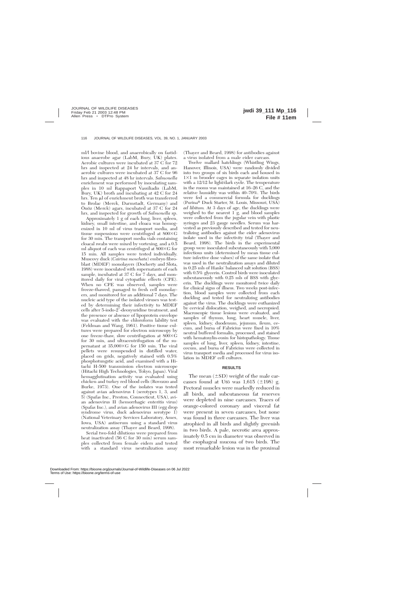ml/l bovine blood, and anaerobically on fastidious anaerobe agar (LabM, Bury, UK) plates. Aerobic cultures were incubated at 37 C for 72 hrs and inspected at 24 hr intervals, and anaerobic cultures were incubated at 37 C for 96 hrs and inspected at 48 hr intervals. *Salmonella* enrichment was performed by inoculating samples in 10 ml Rappaport Vassiliadis (LabM, Bury, UK) broth and incubating at 42 C for 24 hrs. Ten µl of enrichment broth was transferred to Brolac (Merck, Darmstadt, Germany) and Önöz (Merck) agars, incubated at 37 C for 24 hrs, and inspected for growth of *Salmonella* sp.

Approximately 1 g of each lung, liver, spleen, kidney, small intestine, and cloaca was homogenized in 10 ml of virus transport media, and tissue suspensions were centrifuged at  $800\times G$ for 30 min. The transport media vials containing cloacal swabs were mixed by vortexing, and a 0.5 ml aliquot of each was centrifuged at  $800\times G$  for 15 min. All samples were tested individually. Muscovy duck (*Cairina moschata*) embryo fibroblast (MDEF) monolayers (Docherty and Slota, 1988) were inoculated with supernatants of each sample, incubated at 37 C for 7 days, and monitored daily for viral cytopathic effects (CPE). When no CPE was observed, samples were freeze-thawed, passaged to fresh cell monolayers, and monitored for an additional 7 days. The nucleic acid type of the isolated viruses was tested by determining their infectivity to MDEF cells after  $5$ -iodo- $2'$ -deoxyuridine treatment, and the presence or absence of lipoprotein envelope was evaluated with the chloroform lability test (Feldman and Wang, 1961). Positive tissue cultures were prepared for electron microscopy by one freeze-thaw, slow centrifugation at  $800\times G$ for 30 min, and ultracentrifugation of the supernatant at  $35,000\times G$  for 150 min. The viral pellets were resuspended in distilled water, placed on grids, negatively stained with 0.5% phosphotungstic acid, and examined with a Hitachi H-500 transmission electron microscope (Hitachi High Technologies, Tokyo, Japan). Viral hemagglutination activity was evaluated using chicken and turkey red blood cells (Rovozzo and Burke, 1973). One of the isolates was tested against avian adenovirus I (serotypes 1, 3, and 5) (Spafas Inc., Preston, Connecticut, USA), avian adenovirus II (hemorrhagic enteritis virus) (Spafas Inc.), and avian adenovirus III (egg drop syndrome virus, duck adenovirus serotype 1) (National Veterinary Services Laboratory, Ames, Iowa, USA) antiserum using a standard virus neutralization assay (Thayer and Beard, 1998).

Serial two-fold dilutions were prepared from heat inactivated (56 C for 30 min) serum samples collected from female eiders and tested with a standard virus neutralization assay

(Thayer and Beard, 1998) for antibodies against a virus isolated from a male eider carcass.

Twelve mallard hatchlings (Whistling Wings, Hanover, Illinois, USA) were randomly divided into two groups of six birds each and housed in 1×1 m brooder cages in separate isolation units with a 12/12 hr light/dark cycle. The temperature in the rooms was maintained at 16–26 C, and the relative humidity was within 40–70%. The birds were fed a commercial formula for ducklings (Purina® Duck Starter, St. Louis, Missouri, USA) *ad libitum.* At 3 days of age, the ducklings were weighed to the nearest 1 g, and blood samples were collected from the jugular vein with plastic syringes and 23 gauge needles. Serum was harvested as previously described and tested for neutralizing antibodies against the eider adenovirus isolate used in the infectivity trial (Thayer and Beard, 1998). The birds in the experimental group were inoculated subcutaneously with 5,000 infectious units (determined by mean tissue culture infective dose values) of the same isolate that was used in the neutralization assays and diluted in 0.25 mls of Hanks' balanced salt solution (BSS) with 0.5% glycerin. Control birds were inoculated subcutaneously with 0.25 mls of BSS with glycerin. The ducklings were monitored twice daily for clinical signs of illness. Two weeks post-infection, blood samples were collected from each duckling and tested for neutralizing antibodies against the virus. The ducklings were euthanized by cervical dislocation, weighed, and necropsied. Macroscopic tissue lesions were evaluated, and samples of thymus, lung, heart muscle, liver, spleen, kidney, duodenum, jejunum, ileum, cecum, and bursa of Fabricius were fixed in 10% neutral buffered formalin, processed, and stained with hematoxylin-eosin for histopathology. Tissue samples of lung, liver, spleen, kidney, intestine, cecum, and bursa of Fabricius were collected in virus transport media and processed for virus isolation in MDEF cell cultures.

#### **RESULTS**

The mean  $(\pm SD)$  weight of the male carcasses found at Utö was  $1,615$  ( $\pm 198$ ) g. Pectoral muscles were markedly reduced in all birds, and subcutaneous fat reserves were depleted in nine carcasses. Traces of orange-colored coronary and visceral fat were present in seven carcasses, but none was found in three carcasses. The liver was atrophied in all birds and slightly greenish in two birds. A pale, necrotic area approximately 0.5 cm in diameter was observed in the esophageal mucosa of two birds. The most remarkable lesion was in the proximal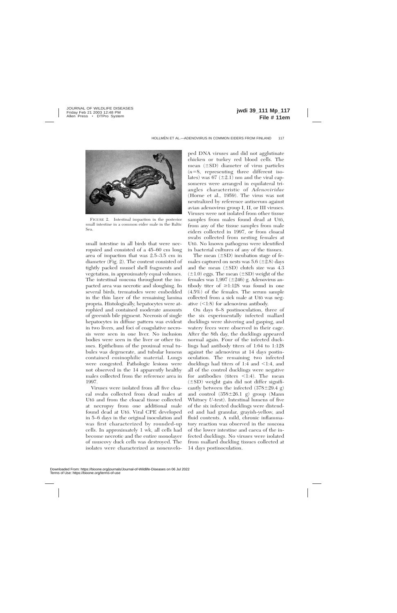

FIGURE 2. Intestinal impaction in the posterior small intestine in a common eider male in the Baltic Sea.

small intestine in all birds that were necropsied and consisted of a 45–60 cm long area of impaction that was 2.5–3.5 cm in diameter (Fig. 2). The content consisted of tightly packed mussel shell fragments and vegetation, in approximately equal volumes. The intestinal mucosa throughout the impacted area was necrotic and sloughing. In several birds, trematodes were embedded in the thin layer of the remaining lamina propria. Histologically, hepatocytes were atrophied and contained moderate amounts of greenish bile pigment. Necrosis of single hepatocytes in diffuse pattern was evident in two livers, and foci of coagulative necrosis were seen in one liver. No inclusion bodies were seen in the liver or other tissues. Epithelium of the proximal renal tubules was degenerate, and tubular lumens contained eosinophilic material. Lungs were congested. Pathologic lesions were not observed in the 14 apparently healthy males collected from the reference area in 1997.

Viruses were isolated from all five cloacal swabs collected from dead males at Utö and from the cloacal tissue collected at necropsy from one additional male found dead at Utö. Viral CPE developed in 5–6 days in the original inoculation and was first characterized by rounded-up cells. In approximately 1 wk, all cells had become necrotic and the entire monolayer of muscovy duck cells was destroyed. The isolates were characterized as nonenveloped DNA viruses and did not agglutinate chicken or turkey red blood cells. The mean  $(\pm SD)$  diameter of virus particles  $(n=8,$  representing three different isolates) was  $67 \ (\pm 2.1)$  nm and the viral capsomeres were arranged in equilateral triangles characteristic of *Adenoviridae* (Horne et al., 1959). The virus was not neutralized by reference antiserum against avian adenovirus group I, II, or III viruses. Viruses were not isolated from other tissue samples from males found dead at Utö, from any of the tissue samples from male eiders collected in 1997, or from cloacal swabs collected from nesting females at Utö. No known pathogens were identified in bacterial cultures of any of the tissues.

The mean  $(\pm SD)$  incubation stage of females captured on nests was  $5.6$  ( $\pm$ 2.8) days and the mean  $(\pm SD)$  clutch size was 4.3  $(\pm 1.0)$  eggs. The mean  $(\pm SD)$  weight of the females was  $1,997 \ (\pm 246)$  g. Adenovirus antibody titer of  $\geq$ 1:128 was found in one (4.5%) of the females. The serum sample collected from a sick male at Utö was negative  $\langle$  <1:8) for adenovirus antibody.

On days 6–8 postinoculation, three of the six experimentally infected mallard ducklings were shivering and gasping, and watery feces were observed in their cage. After the 8th day, the ducklings appeared normal again. Four of the infected ducklings had antibody titers of 1:64 to 1:128 against the adenovirus at 14 days postinoculation. The remaining two infected ducklings had titers of 1:4 and  $\leq$ 1:4, and all of the control ducklings were negative for antibodies (titers  $\leq$ 1:4). The mean  $(\pm SD)$  weight gain did not differ significantly between the infected  $(378\pm29.4 \text{ g})$ and control  $(358\pm26.1 \text{ g})$  group (Mann Whitney *U*-test). Intestinal lumens of five of the six infected ducklings were distended and had granular, grayish-yellow, and fluid contents. A mild, chronic inflammatory reaction was observed in the mucosa of the lower intestine and caeca of the infected ducklings. No viruses were isolated from mallard duckling tissues collected at 14 days postinoculation.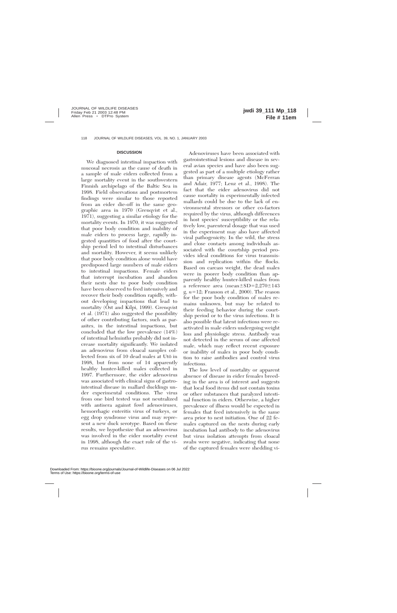# **DISCUSSION**

We diagnosed intestinal impaction with mucosal necrosis as the cause of death in a sample of male eiders collected from a large mortality event in the southwestern Finnish archipelago of the Baltic Sea in 1998. Field observations and postmortem findings were similar to those reported from an eider die-off in the same geographic area in 1970 (Grenqvist et al., 1971), suggesting a similar etiology for the mortality events. In 1970, it was suggested that poor body condition and inability of male eiders to process large, rapidly ingested quantities of food after the courtship period led to intestinal disturbances and mortality. However, it seems unlikely that poor body condition alone would have predisposed large numbers of male eiders to intestinal impactions. Female eiders that interrupt incubation and abandon their nests due to poor body condition have been observed to feed intensively and recover their body condition rapidly, without developing impactions that lead to mortality (Ost and Kilpi, 1999). Grenqvist et al. (1971) also suggested the possibility of other contributing factors, such as parasites, in the intestinal impactions, but concluded that the low prevalence (14%) of intestinal helminths probably did not increase mortality significantly. We isolated an adenovirus from cloacal samples collected from six of 10 dead males at Utö in 1998, but from none of 14 apparently healthy hunter-killed males collected in 1997. Furthermore, the eider adenovirus was associated with clinical signs of gastrointestinal disease in mallard ducklings under experimental conditions. The virus from one bird tested was not neutralized with antisera against fowl adenoviruses, hemorrhagic enteritis virus of turkeys, or egg drop syndrome virus and may represent a new duck serotype. Based on these results, we hypothesize that an adenovirus was involved in the eider mortality event in 1998, although the exact role of the virus remains speculative.

Adenoviruses have been associated with gastrointestinal lesions and disease in several avian species and have also been suggested as part of a multiple etiology rather than primary disease agents (McFerran and Adair, 1977; Lenz et al., 1998). The fact that the eider adenovirus did not cause mortality in experimentally infected mallards could be due to the lack of environmental stressors or other co-factors required by the virus, although differences in host species' susceptibility or the relatively low, parenteral dosage that was used in the experiment may also have affected viral pathogenicity. In the wild, the stress and close contacts among individuals associated with the courtship period provides ideal conditions for virus transmission and replication within the flocks. Based on carcass weight, the dead males were in poorer body condition than apparently healthy hunter-killed males from a reference area  $(\text{mean} \pm SD = 2.270 \pm 143)$ g,  $n=12$ ; Franson et al., 2000). The reason for the poor body condition of males remains unknown, but may be related to their feeding behavior during the courtship period or to the virus infections. It is also possible that latent infections were reactivated in male eiders undergoing weight loss and physiologic stress. Antibody was not detected in the serum of one affected male, which may reflect recent exposure or inability of males in poor body condition to raise antibodies and control virus infections.

The low level of mortality or apparent absence of disease in eider females breeding in the area is of interest and suggests that local food items did not contain toxins or other substances that paralyzed intestinal function in eiders. Otherwise, a higher prevalence of illness would be expected in females that feed intensively in the same area prior to nest initiation. One of 22 females captured on the nests during early incubation had antibody to the adenovirus but virus isolation attempts from cloacal swabs were negative, indicating that none of the captured females were shedding vi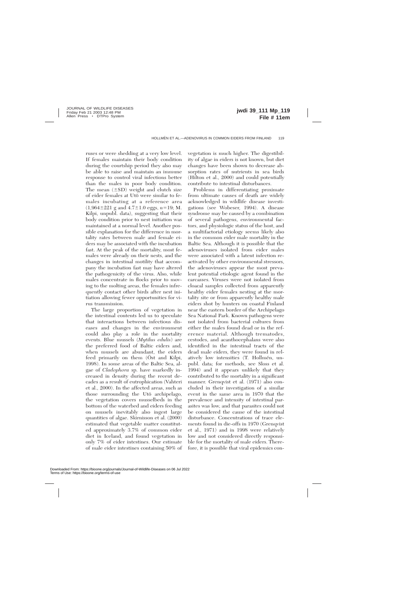ruses or were shedding at a very low level. If females maintain their body condition during the courtship period they also may be able to raise and maintain an immune response to control viral infections better than the males in poor body condition. The mean  $(\pm SD)$  weight and clutch size of eider females at Utö were similar to females incubating at a reference area  $(1,964\pm221 \text{ g and } 4.7\pm1.0 \text{ eggs}, n=19; \text{ M}.$ Kilpi, unpubl. data), suggesting that their body condition prior to nest initiation was maintained at a normal level. Another possible explanation for the difference in mortality rates between male and female eiders may be associated with the incubation fast. At the peak of the mortality, most females were already on their nests, and the changes in intestinal motility that accompany the incubation fast may have altered the pathogenicity of the virus. Also, while males concentrate in flocks prior to moving to the molting areas, the females infrequently contact other birds after nest initiation allowing fewer opportunities for virus transmission.

The large proportion of vegetation in the intestinal contents led us to speculate that interactions between infectious diseases and changes in the environment could also play a role in the mortality events. Blue mussels (*Mytilus edulis*) are the preferred food of Baltic eiders and, when mussels are abundant, the eiders feed primarily on them (Öst and Kilpi, 1998). In some areas of the Baltic Sea, algae of *Cladophora* sp. have markedly increased in density during the recent decades as a result of eutrophication (Vahteri et al., 2000). In the affected areas, such as those surrounding the Utö archipelago, the vegetation covers musselbeds in the bottom of the waterbed and eiders feeding on mussels inevitably also ingest large quantities of algae. Skirnisson et al. (2000) estimated that vegetable matter constituted approximately 3.7% of common eider diet in Iceland, and found vegetation in only 7% of eider intestines. Our estimate of male eider intestines containing 50% of vegetation is much higher. The digestibility of algae in eiders is not known, but diet changes have been shown to decrease absorption rates of nutrients in sea birds (Hilton et al., 2000) and could potentially contribute to intestinal disturbances.

Problems in differentiating proximate from ultimate causes of death are widely acknowledged in wildlife disease investigations (see Wobeser, 1994). A disease syndrome may be caused by a combination of several pathogens, environmental factors, and physiologic status of the host, and a multifactorial etiology seems likely also in the common eider male mortality in the Baltic Sea. Although it is possible that the adenoviruses isolated from eider males were associated with a latent infection reactivated by other environmental stressors, the adenoviruses appear the most prevalent potential etiologic agent found in the carcasses. Viruses were not isolated from cloacal samples collected from apparently healthy eider females nesting at the mortality site or from apparently healthy male eiders shot by hunters on coastal Finland near the eastern border of the Archipelago Sea National Park. Known pathogens were not isolated from bacterial cultures from either the males found dead or in the reference material. Although trematodes, cestodes, and acanthocephalans were also identified in the intestinal tracts of the dead male eiders, they were found in relatively low intensities (T. Hollmén, unpubl. data; for methods, see Sloss et al. 1994) and it appears unlikely that they contributed to the mortality in a significant manner. Grenqvist et al. (1971) also concluded in their investigation of a similar event in the same area in 1970 that the prevalence and intensity of intestinal parasites was low, and that parasites could not be considered the cause of the intestinal disturbance. Concentrations of trace elements found in die-offs in 1970 (Grenqvist et al., 1971) and in 1998 were relatively low and not considered directly responsible for the mortality of male eiders. Therefore, it is possible that viral epidemics con